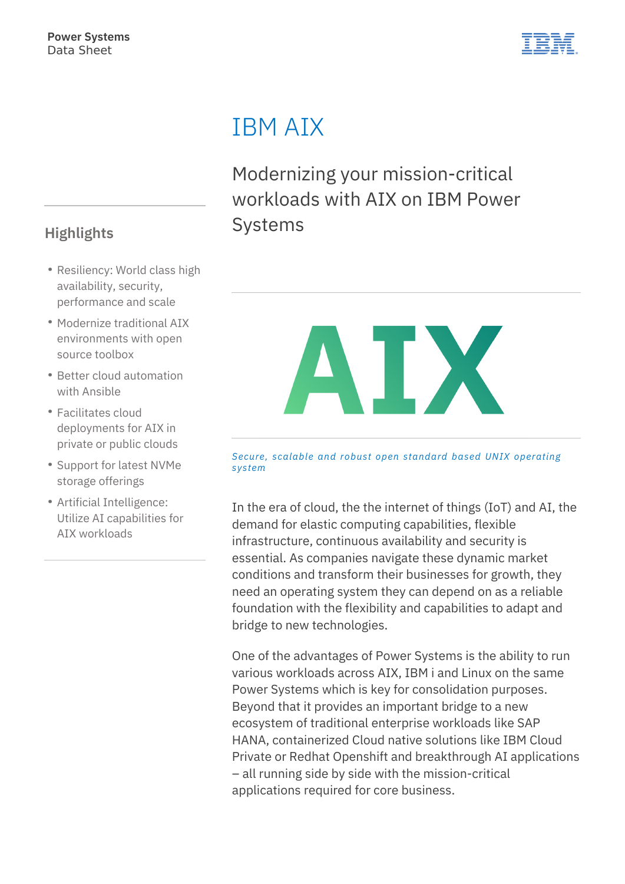

# IBM AIX

Modernizing your mission-critical workloads with AIX on IBM Power **Systems** 



*Secure, scalable and robust open standard based UNIX operating system*

In the era of cloud, the the internet of things (IoT) and AI, the demand for elastic computing capabilities, flexible infrastructure, continuous availability and security is essential. As companies navigate these dynamic market conditions and transform their businesses for growth, they need an operating system they can depend on as a reliable foundation with the flexibility and capabilities to adapt and bridge to new technologies.

One of the advantages of Power Systems is the ability to run various workloads across AIX, IBM i and Linux on the same Power Systems which is key for consolidation purposes. Beyond that it provides an important bridge to a new ecosystem of traditional enterprise workloads like SAP HANA, containerized Cloud native solutions like IBM Cloud Private or Redhat Openshift and breakthrough AI applications – all running side by side with the mission-critical applications required for core business.

## **Highlights**

- Resiliency: World class high availability, security, performance and scale
- Modernize traditional AIX environments with open source toolbox
- Better cloud automation with Ansible
- Facilitates cloud deployments for AIX in private or public clouds
- Support for latest NVMe storage offerings
- Artificial Intelligence: Utilize AI capabilities for AIX workloads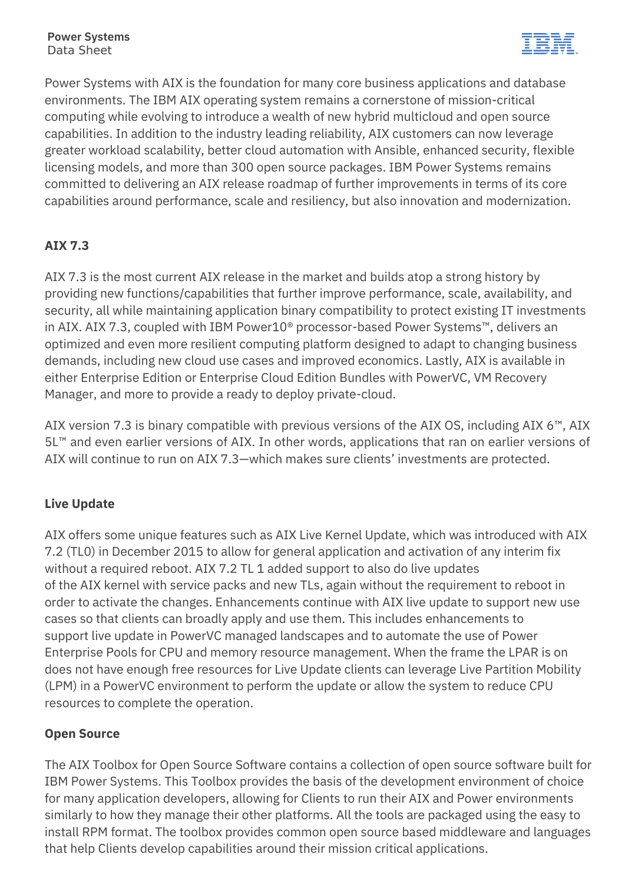

Power Systems with AIX is the foundation for many core business applications and database environments. The IBM AIX operating system remains a cornerstone of mission-critical computing while evolving to introduce a wealth of new hybrid multicloud and open source capabilities. In addition to the industry leading reliability, AIX customers can now leverage greater workload scalability, better cloud automation with Ansible, enhanced security, flexible licensing models, and more than 300 open source packages. IBM Power Systems remains committed to delivering an AIX release roadmap of further improvements in terms of its core capabilities around performance, scale and resiliency, but also innovation and modernization.

### **AIX 7.3**

AIX 7.3 is the most current AIX release in the market and builds atop a strong history by providing new functions/capabilities that further improve performance, scale, availability, and security, all while maintaining application binary compatibility to protect existing IT investments in AIX. AIX 7.3, coupled with IBM Power10® processor-based Power Systems™, delivers an optimized and even more resilient computing platform designed to adapt to changing business demands, including new cloud use cases and improved economics. Lastly, AIX is available in either Enterprise Edition or Enterprise Cloud Edition Bundles with PowerVC, VM Recovery Manager, and more to provide a ready to deploy private-cloud.

AIX version 7.3 is binary compatible with previous versions of the AIX OS, including AIX 6™, AIX 5L™ and even earlier versions of AIX. In other words, applications that ran on earlier versions of AIX will continue to run on AIX 7.3—which makes sure clients' investments are protected.

#### **Live Update**

AIX offers some unique features such as AIX Live Kernel Update, which was introduced with AIX 7.2 (TL0) in December 2015 to allow for general application and activation of any interim fix without a required reboot. AIX 7.2 TL 1 added support to also do live updates of the AIX kernel with service packs and new TLs, again without the requirement to reboot in order to activate the changes. Enhancements continue with AIX live update to support new use cases so that clients can broadly apply and use them. This includes enhancements to support live update in PowerVC managed landscapes and to automate the use of Power Enterprise Pools for CPU and memory resource management. When the frame the LPAR is on does not have enough free resources for Live Update clients can leverage Live Partition Mobility (LPM) in a PowerVC environment to perform the update or allow the system to reduce CPU resources to complete the operation.

#### **Open Source**

The AIX Toolbox for Open Source Software contains a collection of open source software built for IBM Power Systems. This Toolbox provides the basis of the development environment of choice for many application developers, allowing for Clients to run their AIX and Power environments similarly to how they manage their other platforms. All the tools are packaged using the easy to install RPM format. The toolbox provides common open source based middleware and languages that help Clients develop capabilities around their mission critical applications.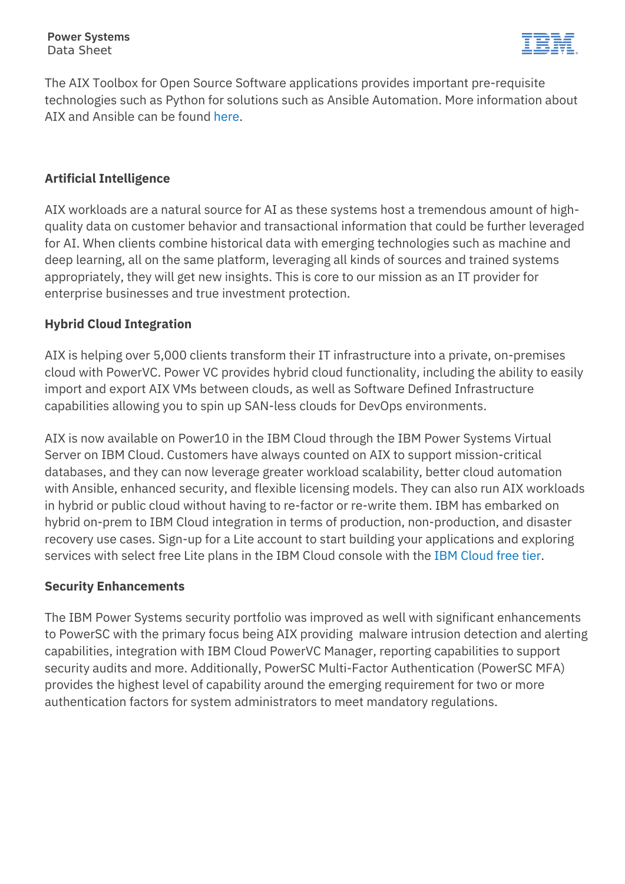

The AIX Toolbox for Open Source Software applications provides important pre-requisite technologies such as Python for solutions such as Ansible Automation. More information about AIX and Ansible can be found [here](https://galaxy.ansible.com/ibm/power_aix).

#### **Artificial Intelligence**

AIX workloads are a natural source for AI as these systems host a tremendous amount of highquality data on customer behavior and transactional information that could be further leveraged for AI. When clients combine historical data with emerging technologies such as machine and deep learning, all on the same platform, leveraging all kinds of sources and trained systems appropriately, they will get new insights. This is core to our mission as an IT provider for enterprise businesses and true investment protection.

#### **Hybrid Cloud Integration**

AIX is helping over 5,000 clients transform their IT infrastructure into a private, on-premises cloud with PowerVC. Power VC provides hybrid cloud functionality, including the ability to easily import and export AIX VMs between clouds, as well as Software Defined Infrastructure capabilities allowing you to spin up SAN-less clouds for DevOps environments.

AIX is now available on Power10 in the IBM Cloud through the IBM Power Systems Virtual Server on IBM Cloud. Customers have always counted on AIX to support mission-critical databases, and they can now leverage greater workload scalability, better cloud automation with Ansible, enhanced security, and flexible licensing models. They can also run AIX workloads in hybrid or public cloud without having to re-factor or re-write them. IBM has embarked on hybrid on-prem to IBM Cloud integration in terms of production, non-production, and disaster recovery use cases. Sign-up for a Lite account to start building your applications and exploring services with select free Lite plans in the IBM Cloud console with the [IBM Cloud free tier.](https://www.ibm.com/cloud/free?p1=Search&p4=43700050367673483&p5=e&cm_mmc=Search_Google-_-1S_1S-_-WW_NA-_-ibm%20cloud%20free%20trial_e&cm_mmca7=71700000061217481&cm_mmca8=aud-932044064635:kwd-440577251684&cm_mmca9=Cj0KCQjwtZH7BRDzARIsAGjbK2b8NDCxnm-oIrbOg2EYVC_ikmhaB3wUGs8yGWZal2goOZVfHhlT1xcaAuEkEALw_wcB&cm_mmca10=406689339968&cm_mmca11=e&gclid=Cj0KCQjwtZH7BRDzARIsAGjbK2b8NDCxnm-oIrbOg2EYVC_ikmhaB3wUGs8yGWZal2goOZVfHhlT1xcaAuEkEALw_wcB&gclsrc=aw.ds)

#### **Security Enhancements**

The IBM Power Systems security portfolio was improved as well with significant enhancements to PowerSC with the primary focus being AIX providing malware intrusion detection and alerting capabilities, integration with IBM Cloud PowerVC Manager, reporting capabilities to support security audits and more. Additionally, PowerSC Multi-Factor Authentication (PowerSC MFA) provides the highest level of capability around the emerging requirement for two or more authentication factors for system administrators to meet mandatory regulations.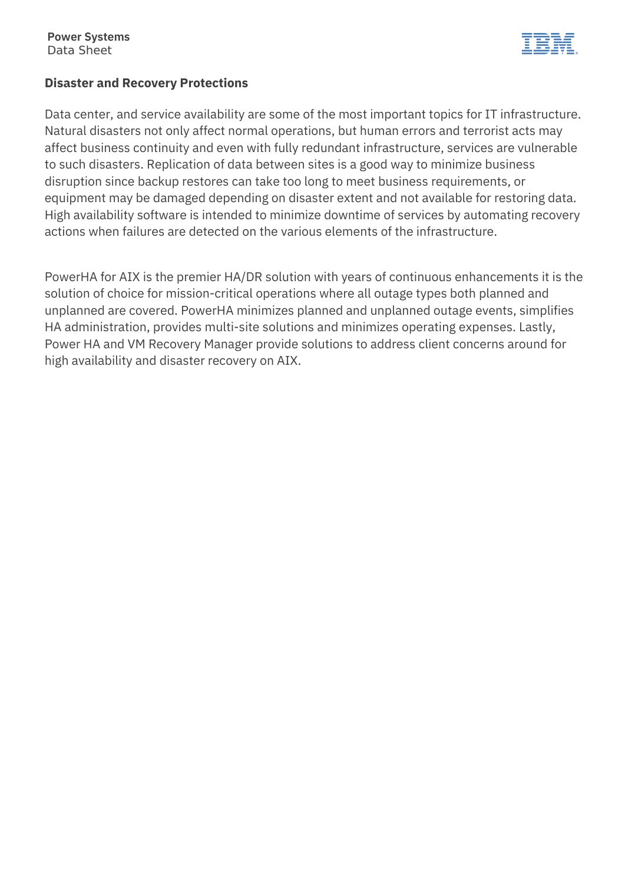

#### **Disaster and Recovery Protections**

Data center, and service availability are some of the most important topics for IT infrastructure. Natural disasters not only affect normal operations, but human errors and terrorist acts may affect business continuity and even with fully redundant infrastructure, services are vulnerable to such disasters. Replication of data between sites is a good way to minimize business disruption since backup restores can take too long to meet business requirements, or equipment may be damaged depending on disaster extent and not available for restoring data. High availability software is intended to minimize downtime of services by automating recovery actions when failures are detected on the various elements of the infrastructure.

PowerHA for AIX is the premier HA/DR solution with years of continuous enhancements it is the solution of choice for mission-critical operations where all outage types both planned and unplanned are covered. PowerHA minimizes planned and unplanned outage events, simplifies HA administration, provides multi-site solutions and minimizes operating expenses. Lastly, Power HA and VM Recovery Manager provide solutions to address client concerns around for high availability and disaster recovery on AIX.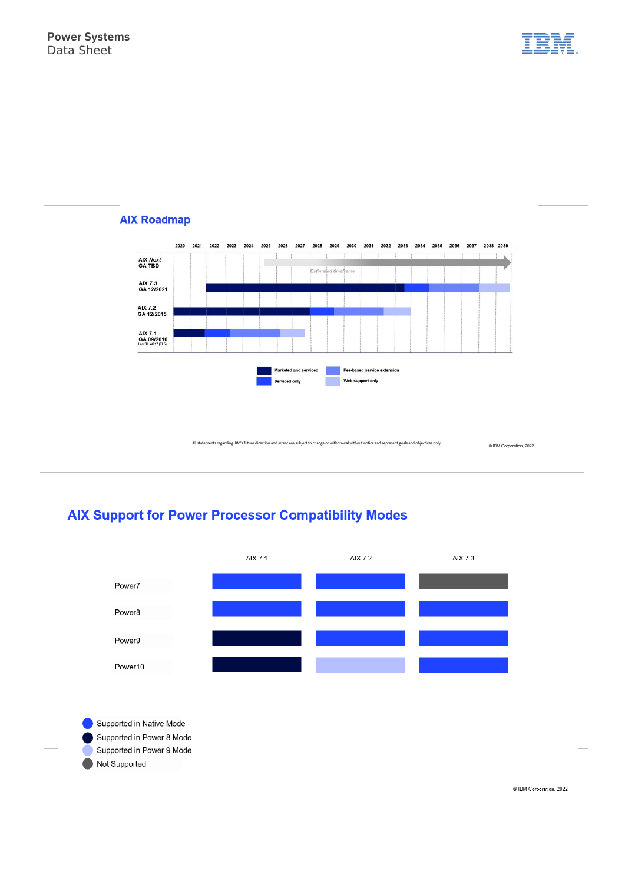



#### **AIX Roadmap**

All statements regarding IBM's future direction and intent are subject to change or withdrawal without notice and represent goals and objectives only.

@ IBM Corporation, 2022

### **AIX Support for Power Processor Compatibility Modes**



Supported in Native Mode Supported in Power 8 Mode Supported in Power 9 Mode

Not Supported

C IBM Corporation, 2022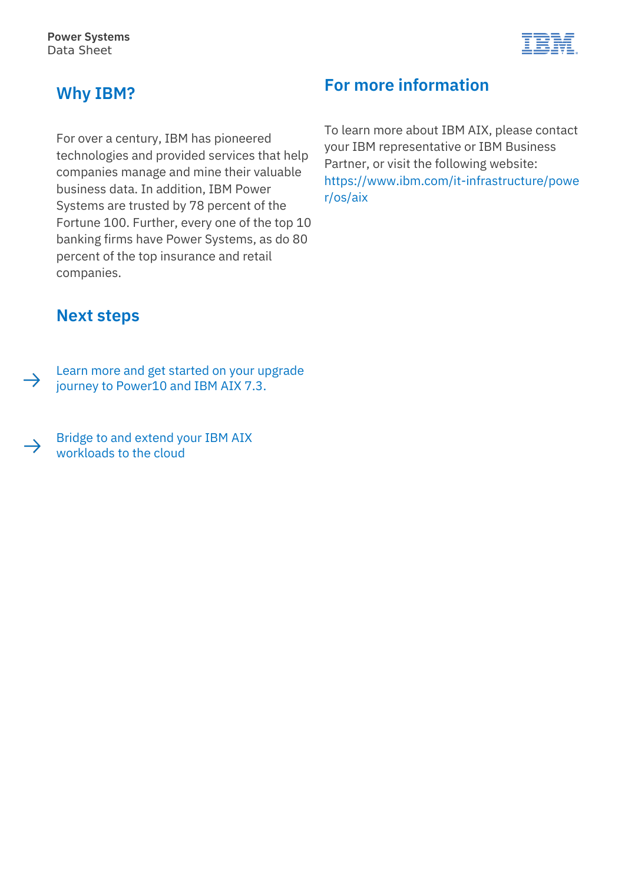

## **Why IBM?**

For over a century, IBM has pioneered technologies and provided services that help companies manage and mine their valuable business data. In addition, IBM Power Systems are trusted by 78 percent of the Fortune 100. Further, every one of the top 10 banking firms have Power Systems, as do 80 percent of the top insurance and retail companies.

# **For more information**

To learn more about IBM AIX, please contact your IBM representative or IBM Business Partner, or visit the following website: [https://www.ibm.com/it-infrastructure/powe](https://www.ibm.com/it-infrastructure/power/os/aix) [r/os/aix](https://www.ibm.com/it-infrastructure/power/os/aix)

## **Next steps**

[Learn more and get started on your](https://www.ibm.com/it-infrastructure/power/os/aix) upgrade  $\rightarrow$ journey to Power10 and IBM AIX 7.[3.](https://www.ibm.com/it-infrastructure/power/os/aix)

[Bridge to and extend your IBM AIX](https://www.ibm.com/products/power-virtual-server)   $\rightarrow$ workloads to the cloud